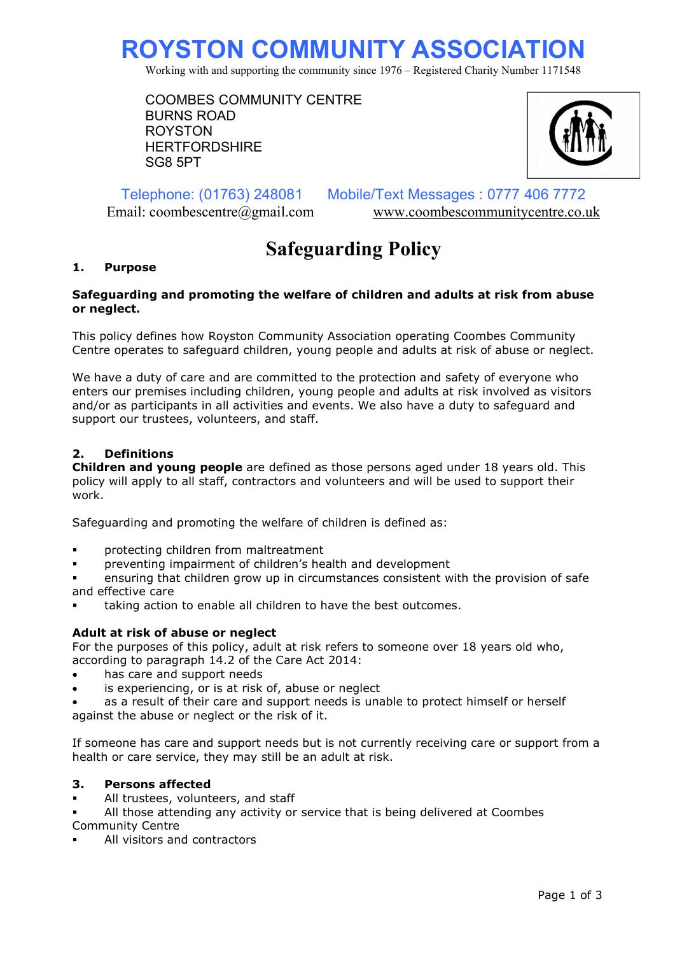# ROYSTON COMMUNITY ASSOCIATION

Working with and supporting the community since 1976 – Registered Charity Number 1171548

COOMBES COMMUNITY CENTRE BURNS ROAD ROYSTON **HERTFORDSHIRF** SG8 5PT



Telephone: (01763) 248081 Mobile/Text Messages : 0777 406 7772 Email: coombescentre@gmail.com www.coombescommunitycentre.co.uk

# Safeguarding Policy

# 1. Purpose

#### Safeguarding and promoting the welfare of children and adults at risk from abuse or neglect.

This policy defines how Royston Community Association operating Coombes Community Centre operates to safeguard children, young people and adults at risk of abuse or neglect.

We have a duty of care and are committed to the protection and safety of everyone who enters our premises including children, young people and adults at risk involved as visitors and/or as participants in all activities and events. We also have a duty to safeguard and support our trustees, volunteers, and staff.

# 2. Definitions

**Children and young people** are defined as those persons aged under 18 years old. This policy will apply to all staff, contractors and volunteers and will be used to support their work.

Safeguarding and promoting the welfare of children is defined as:

- protecting children from maltreatment
- preventing impairment of children's health and development

 ensuring that children grow up in circumstances consistent with the provision of safe and effective care

taking action to enable all children to have the best outcomes.

#### Adult at risk of abuse or neglect

For the purposes of this policy, adult at risk refers to someone over 18 years old who, according to paragraph 14.2 of the Care Act 2014:

- has care and support needs
- is experiencing, or is at risk of, abuse or neglect

 as a result of their care and support needs is unable to protect himself or herself against the abuse or neglect or the risk of it.

If someone has care and support needs but is not currently receiving care or support from a health or care service, they may still be an adult at risk.

#### 3. Persons affected

• All trustees, volunteers, and staff

 All those attending any activity or service that is being delivered at Coombes Community Centre

All visitors and contractors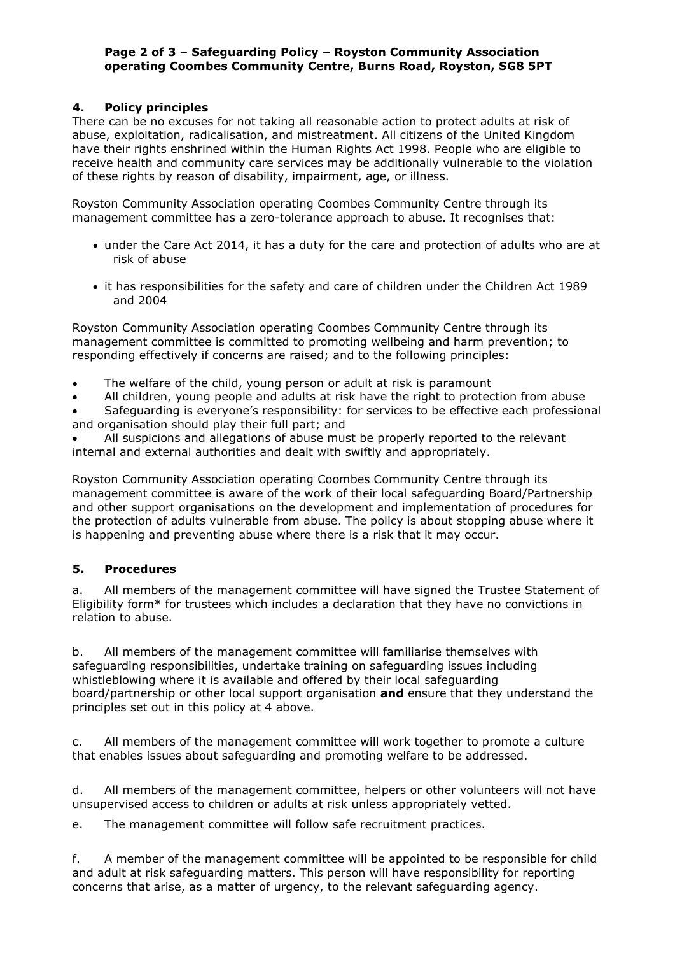# Page 2 of 3 – Safeguarding Policy – Royston Community Association operating Coombes Community Centre, Burns Road, Royston, SG8 5PT

# 4. Policy principles

There can be no excuses for not taking all reasonable action to protect adults at risk of abuse, exploitation, radicalisation, and mistreatment. All citizens of the United Kingdom have their rights enshrined within the Human Rights Act 1998. People who are eligible to receive health and community care services may be additionally vulnerable to the violation of these rights by reason of disability, impairment, age, or illness.

Royston Community Association operating Coombes Community Centre through its management committee has a zero-tolerance approach to abuse. It recognises that:

- under the Care Act 2014, it has a duty for the care and protection of adults who are at risk of abuse
- it has responsibilities for the safety and care of children under the Children Act 1989 and 2004

Royston Community Association operating Coombes Community Centre through its management committee is committed to promoting wellbeing and harm prevention; to responding effectively if concerns are raised; and to the following principles:

- The welfare of the child, young person or adult at risk is paramount
- All children, young people and adults at risk have the right to protection from abuse
- Safeguarding is everyone's responsibility: for services to be effective each professional and organisation should play their full part; and
- All suspicions and allegations of abuse must be properly reported to the relevant internal and external authorities and dealt with swiftly and appropriately.

Royston Community Association operating Coombes Community Centre through its management committee is aware of the work of their local safeguarding Board/Partnership and other support organisations on the development and implementation of procedures for the protection of adults vulnerable from abuse. The policy is about stopping abuse where it is happening and preventing abuse where there is a risk that it may occur.

# 5. Procedures

a. All members of the management committee will have signed the Trustee Statement of Eligibility form\* for trustees which includes a declaration that they have no convictions in relation to abuse.

b. All members of the management committee will familiarise themselves with safeguarding responsibilities, undertake training on safeguarding issues including whistleblowing where it is available and offered by their local safeguarding board/partnership or other local support organisation and ensure that they understand the principles set out in this policy at 4 above.

c. All members of the management committee will work together to promote a culture that enables issues about safeguarding and promoting welfare to be addressed.

d. All members of the management committee, helpers or other volunteers will not have unsupervised access to children or adults at risk unless appropriately vetted.

e. The management committee will follow safe recruitment practices.

f. A member of the management committee will be appointed to be responsible for child and adult at risk safeguarding matters. This person will have responsibility for reporting concerns that arise, as a matter of urgency, to the relevant safeguarding agency.